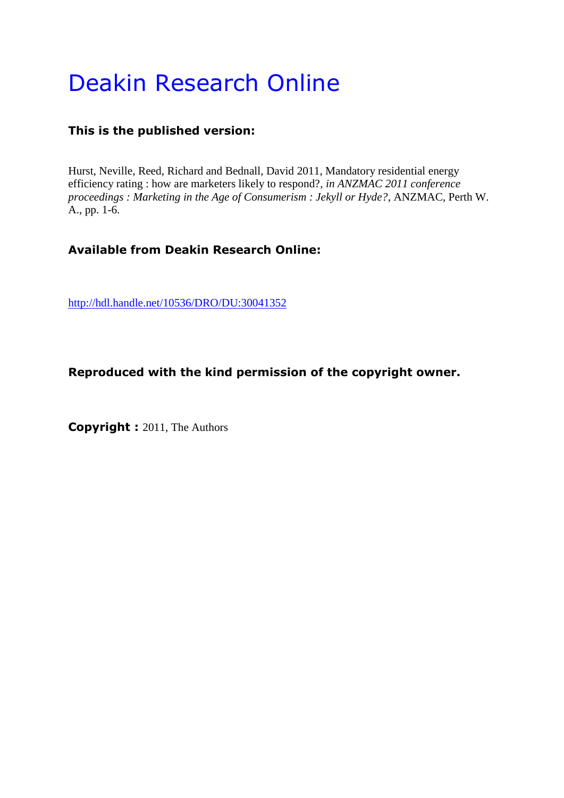# Deakin Research Online

# **This is the published version:**

Hurst, Neville, Reed, Richard and Bednall, David 2011, Mandatory residential energy efficiency rating : how are marketers likely to respond?*, in ANZMAC 2011 conference proceedings : Marketing in the Age of Consumerism : Jekyll or Hyde?*, ANZMAC, Perth W. A., pp. 1-6.

# **Available from Deakin Research Online:**

<http://hdl.handle.net/10536/DRO/DU:30041352>

# **Reproduced with the kind permission of the copyright owner.**

**Copyright :** 2011, The Authors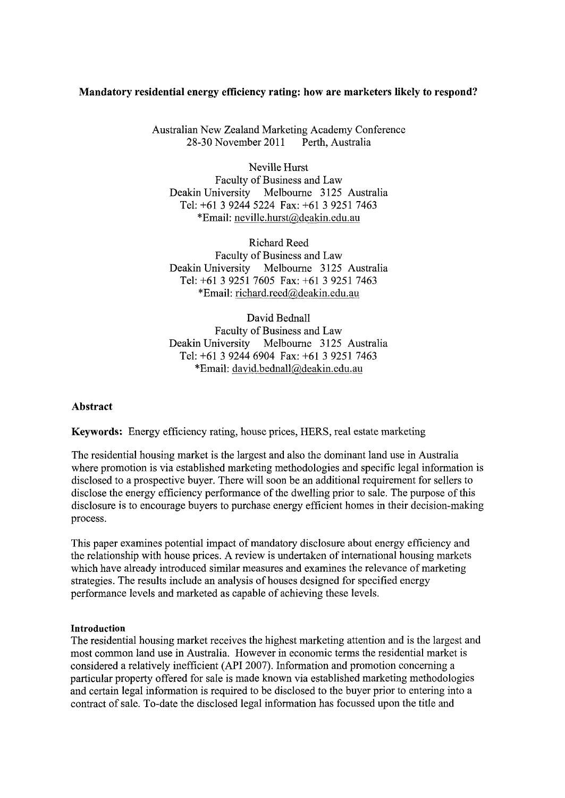# **Mandatory residential energy efficiency rating: how are marketers likely to respond?**

Australian New Zealand Marketing Academy Conference 28-30 November 2011 Perth, Australia

Neville Hurst Faculty of Business and Law Deakin University Melbourne 3125 Australia Tel: +61 3 9244 5224 Fax: +61 3 9251 7463 \*Email: neville.hurst@deakin.edu.au

Richard Reed Faculty of Business and Law Deakin University Melbourne 3125 Australia Tel: +61 3 9251 7605 Fax: +61 3 9251 7463 \*Email: richard.reed@deakin.edu.au

David Bednall Faculty of Business and Law Deakin University Melbourne 3125 Australia Tel: +61 3 9244 6904 Fax: +61 3 9251 7463 \*Email: david.bednall@deakin.edu.au

#### **Abstract**

**Keywords:** Energy efficiency rating, house prices, HERS, real estate marketing

The residential housing market is the largest and also the dominant land use in Australia where promotion is via established marketing methodologies and specific legal information is disclosed to a prospective buyer. There will soon be an additional requirement for sellers to disclose the energy efficiency performance of the dwelling prior to sale. The purpose of this disclosure is to encourage buyers to purchase energy efficient homes in their decision-making process.

This paper examines potential impact of mandatory disclosure about energy efficiency and the relationship with house prices. A review is undertaken of international housing markets which have already introduced similar measures and examines the relevance of marketing strategies. The results include an analysis of houses designed for specified energy performance levels and marketed as capable of achieving these levels.

#### **Introduction**

The residential housing market receives the highest marketing attention and is the largest and most common land use in Australia. However in economic terms the residential market is considered a relatively inefficient (API 2007). Information and promotion concerning a particular property offered for sale is made known via established marketing methodologies and certain legal information is required to be disclosed to the buyer prior to entering into a contract of sale. To-date the disclosed legal information has focussed upon the title and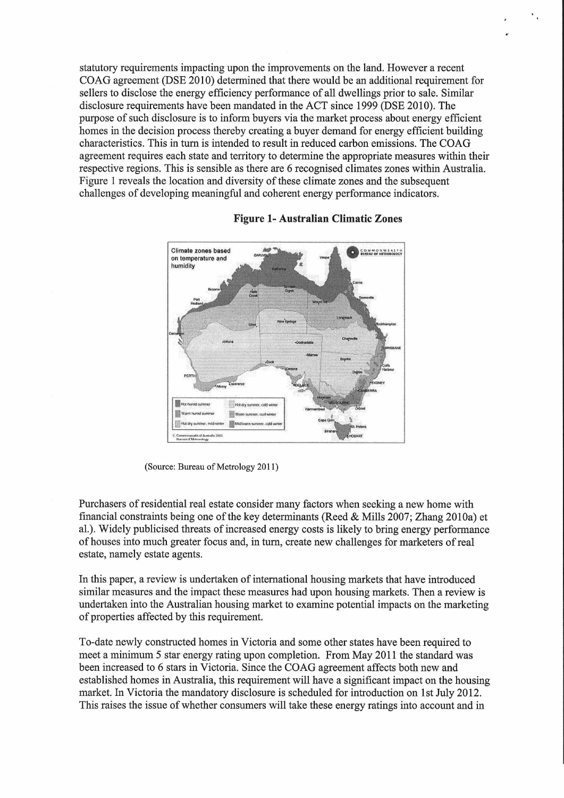statutory requirements impacting upon the improvements on the land. However a recent COAG agreement (DSE 2010) determined that there would be an additional requirement for sellers to disclose the energy efficiency performance of all dwellings prior to sale. Similar disclosure requirements have been mandated in the ACT since 1999 (DSE 2010). The purpose of such disclosure is to inform buyers via the market process about energy efficient homes in the decision process thereby creating a buyer demand for energy efficient building characteristics. This in tum is intended to result in reduced carbon emissions. The COAG agreement requires each state and territory to determine the appropriate measures within their respective regions. This is sensible as there are 6 recognised climates zones within Australia. Figure 1 reveals the location and diversity of these climate zones and the subsequent challenges of developing meaningful and coherent energy performance indicators.



#### **Figure 1- Australian Climatic Zones**

(Source: Bureau of Metrology 2011)

Purchasers of residential real estate consider many factors when seeking a new home with financial constraints being one of the key determinants (Reed & Mills 2007; Zhang 2010a) et al.). Widely publicised threats of increased energy costs is likely to bring energy performance of houses into much greater focus and, in tum, create new challenges for marketers of real estate, namely estate agents.

In this paper, a review is undertaken of international housing markets that have introduced similar measures and the impact these measures had upon housing markets. Then a review is undertaken into the Australian housing market to examine potential impacts on the marketing of properties affected by this requirement.

To-date newly constructed homes in Victoria and some other states have been required to meet a minimum 5 star energy rating upon completion. From May 2011 the standard was been increased to 6 stars in Victoria. Since the COAG agreement affects both new and established homes in Australia, this requirement will have a significant impact on the housing market. In Victoria the mandatory disclosure is scheduled for introduction on 1st July 2012. This raises the issue of whether consumers will take these energy ratings into account and in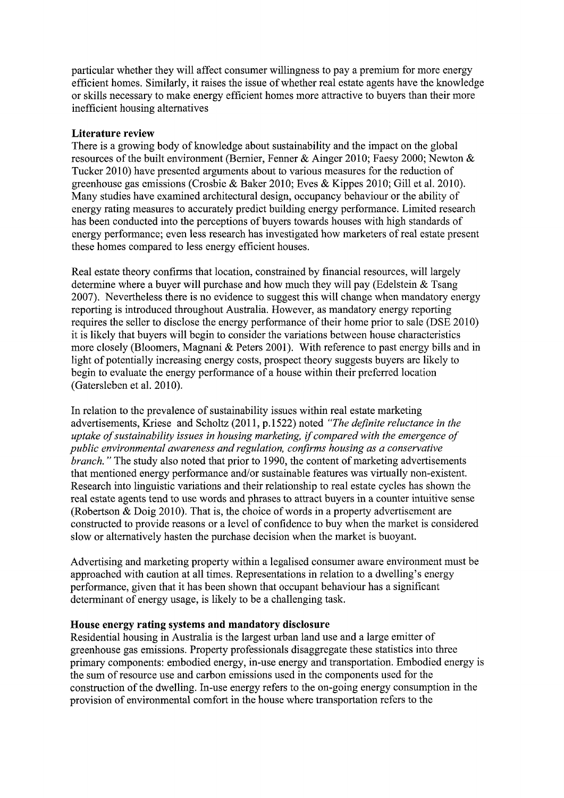particular whether they will affect consumer willingness to pay a premium for more energy efficient homes. Similarly, it raises the issue of whether real estate agents have the knowledge or skills necessary to make energy efficient homes more attractive to buyers than their more inefficient housing alternatives

## **Literature review**

There is a growing body of knowledge about sustainability and the impact on the global resources of the built environment (Bernier, Fenner & Ainger 2010; Faesy 2000; Newton & Tucker 2010) have presented arguments about to various measures for the reduction of greenhouse gas emissions (Crosbie & Baker 2010; Eves & Kippes 2010; Gillet al. 2010). Many studies have examined architectural design, occupancy behaviour or the ability of energy rating measures to accurately predict building energy performance. Limited research has been conducted into the perceptions of buyers towards houses with high standards of energy performance; even less research has investigated how marketers of real estate present these homes compared to less energy efficient houses.

Real estate theory confirms that location, constrained by financial resources, will largely determine where a buyer will purchase and how much they will pay (Edelstein & Tsang 2007). Nevertheless there is no evidence to suggest this will change when mandatory energy reporting is introduced throughout Australia. However, as mandatory energy reporting requires the seller to disclose the energy performance of their home prior to sale (DSE 2010) it is likely that buyers will begin to consider the variations between house characteristics more closely (Bloomers, Magnani & Peters 2001). With reference to past energy bills and in light of potentially increasing energy costs, prospect theory suggests buyers are likely to begin to evaluate the energy performance of a house within their preferred location (Gatersleben et al. 2010).

In relation to the prevalence of sustainability issues within real estate marketing advertisements, Kriese and Scholtz (2011, p.1522) noted *"The definite reluctance in the uptake of sustainability issues in housing marketing,* if *compared with the emergence of public environmental awareness and regulation, confirms housing as a conservative branch.*" The study also noted that prior to 1990, the content of marketing advertisements that mentioned energy performance and/or sustainable features was virtually non-existent. Research into linguistic variations and their relationship to real estate cycles has shown the real estate agents tend to use words and phrases to attract buyers in a counter intuitive sense (Robertson  $\&$  Doig 2010). That is, the choice of words in a property advertisement are constructed to provide reasons or a level of confidence to buy when the market is considered slow or alternatively hasten the purchase decision when the market is buoyant.

Advertising and marketing property within a legalised consumer aware environment must be approached with caution at all times. Representations in relation to a dwelling's energy performance, given that it has been shown that occupant behaviour has a significant determinant of energy usage, is likely to be a challenging task.

# **House energy rating systems and mandatory disclosure**

Residential housing in Australia is the largest urban land use and a large emitter of greenhouse gas emissions. Property professionals disaggregate these statistics into three primary components: embodied energy, in-use energy and transportation. Embodied energy is the sum of resource use and carbon emissions used in the components used for the construction of the dwelling. In-use energy refers to the on-going energy consumption in the provision of environmental comfort in the house where transportation refers to the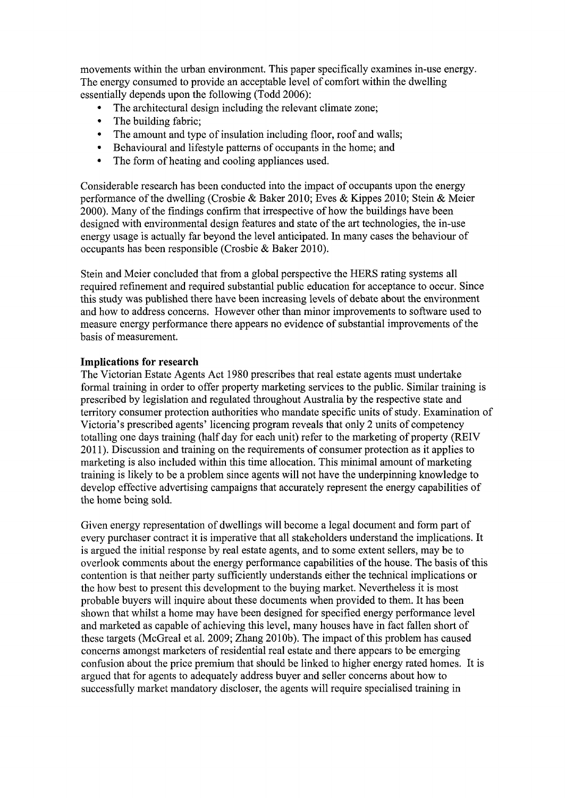movements within the urban environment. This paper specifically examines in-use energy. The energy consumed to provide an acceptable level of comfort within the dwelling essentially depends upon the following (Todd 2006):

- The architectural design including the relevant climate zone;
- The building fabric:
- The amount and type of insulation including floor, roof and walls;
- Behavioural and lifestyle patterns of occupants in the home; and
- The form of heating and cooling appliances used.

Considerable research has been conducted into the impact of occupants upon the energy performance of the dwelling (Crosbie & Baker 2010; Eves & Kippes 2010; Stein & Meier 2000). Many of the findings confirm that irrespective of how the buildings have been designed with environmental design features and state of the art technologies, the in-use energy usage is actually far beyond the level anticipated. In many cases the behaviour of occupants has been responsible (Crosbie & Baker 2010).

Stein and Meier concluded that from a global perspective the HERS rating systems all required refinement and required substantial public education for acceptance to occur. Since this study was published there have been increasing levels of debate about the environment and how to address concerns. However other than minor improvements to software used to measure energy performance there appears no evidence of substantial improvements of the basis of measurement.

# **Implications for research**

The Victorian Estate Agents Act 1980 prescribes that real estate agents must undertake formal training in order to offer property marketing services to the public. Similar training is prescribed by legislation and regulated throughout Australia by the respective state and territory consumer protection authorities who mandate specific units of study. Examination of Victoria's prescribed agents' licencing program reveals that only 2 units of competency totalling one days training (half day for each unit) refer to the marketing of property (REIV 2011 ). Discussion and training on the requirements of consumer protection as it applies to marketing is also included within this time allocation. This minimal amount of marketing training is likely to be a problem since agents will not have the underpinning knowledge to develop effective advertising campaigns that accurately represent the energy capabilities of the home being sold.

Given energy representation of dwellings will become a legal document and form part of every purchaser contract it is imperative that all stakeholders understand the implications. It is argued the initial response by real estate agents, and to some extent sellers, may be to overlook comments about the energy performance capabilities of the house. The basis of this contention is that neither party sufficiently understands either the technical implications or the how best to present this development to the buying market. Nevertheless it is most probable buyers will inquire about these documents when provided to them. It has been shown that whilst a home may have been designed for specified energy performance level and marketed as capable of achieving this level, many houses have in fact fallen short of these targets (McGreal et al. 2009; Zhang 2010b). The impact of this problem has caused concerns amongst marketers of residential real estate and there appears to be emerging confusion about the price premium that should be linked to higher energy rated homes. It is argued that for agents to adequately address buyer and seller concerns about how to successfully market mandatory discloser, the agents will require specialised training in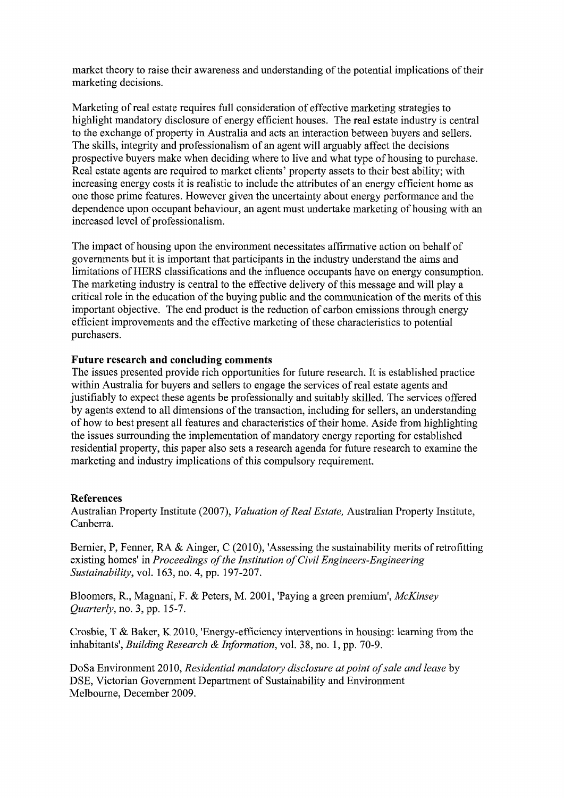market theory to raise their awareness and understanding of the potential implications of their marketing decisions.

Marketing of real estate requires full consideration of effective marketing strategies to highlight mandatory disclosure of energy efficient houses. The real estate industry is central to the exchange of property in Australia and acts an interaction between buyers and sellers. The skills, integrity and professionalism of an agent will arguably affect the decisions prospective buyers make when deciding where to live and what type of housing to purchase. Real estate agents are required to market clients' property assets to their best ability; with increasing energy costs it is realistic to include the attributes of an energy efficient home as one those prime features. However given the uncertainty about energy performance and the dependence upon occupant behaviour, an agent must undertake marketing of housing with an increased level of professionalism.

The impact of housing upon the environment necessitates affirmative action on behalf of governments but it is important that participants in the industry understand the aims and limitations of HERS classifications and the influence occupants have on energy consumption. The marketing industry is central to the effective delivery of this message and will play a critical role in the education of the buying public and the communication of the merits of this important objective. The end product is the reduction of carbon emissions through energy efficient improvements and the effective marketing of these characteristics to potential purchasers.

## **Future research and concluding comments**

The issues presented provide rich opportunities for future research. It is established practice within Australia for buyers and sellers to engage the services of real estate agents and justifiably to expect these agents be professionally and suitably skilled. The services offered by agents extend to all dimensions of the transaction, including for sellers, an understanding of how to best present all features and characteristics of their home. Aside from highlighting the issues surrounding the implementation of mandatory energy reporting for established residential property, this paper also sets a research agenda for future research to examine the marketing and industry implications of this compulsory requirement.

#### **References**

Australian Property Institute (2007), *Valuation of Real Estate,* Australian Property Institute, Canberra.

Bernier, P, Fenner, RA & Ainger, C (2010), 'Assessing the sustainability merits of retrofitting existing homes' in *Proceedings of the Institution of Civil Engineers-Engineering Sustainability,* vol. 163, no. 4, pp. 197-207.

Bloomers, R., Magnani, F. & Peters, M. 2001, 'Paying a green premium', *McKinsey Quarterly,* no. 3, pp. 15-7.

Crosbie, T & Baker, K 2010, 'Energy-efficiency interventions in housing: learning from the inhabitants', *Building Research* & *Information,* vol. 38, no. 1, pp. 70-9.

Do Sa Environment 2010, *Residential mandatory disclosure at point of sale and lease* by DSE, Victorian Government Department of Sustainability and Environment Melbourne, December 2009.